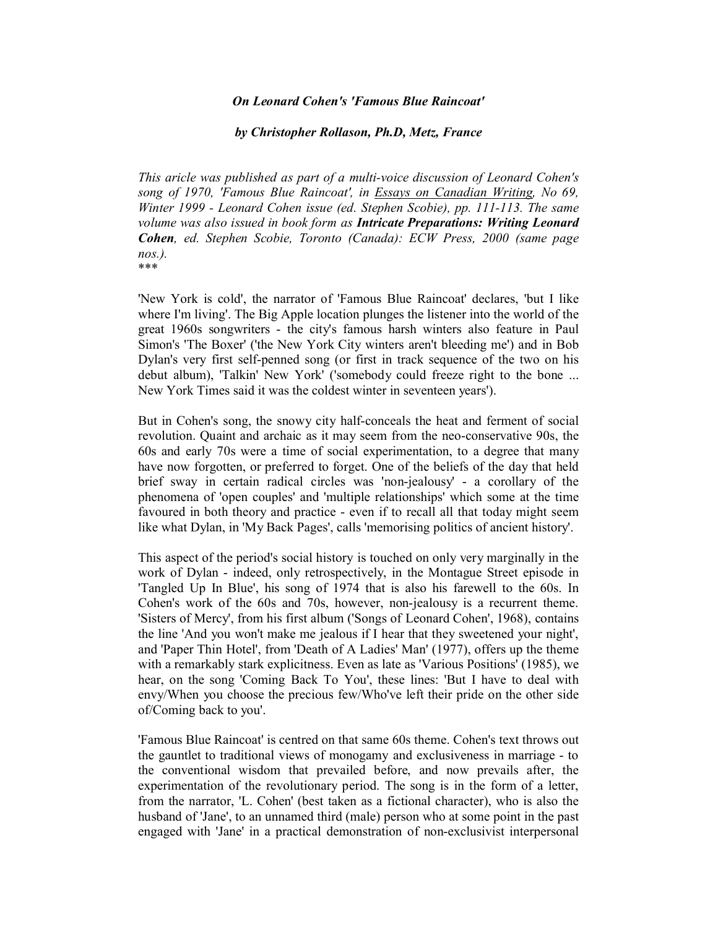## *On Leonard Cohen's 'Famous Blue Raincoat'*

## *by Christopher Rollason, Ph.D, Metz, France*

*This aricle was published as part of a multi-voice discussion of Leonard Cohen's song of 1970, 'Famous Blue Raincoat', in Essays on Canadian Writing, No 69, Winter 1999 - Leonard Cohen issue (ed. Stephen Scobie), pp. 111-113. The same volume was also issued in book form as Intricate Preparations: Writing Leonard Cohen, ed. Stephen Scobie, Toronto (Canada): ECW Press, 2000 (same page nos.).* \*\*\*

'New York is cold', the narrator of 'Famous Blue Raincoat' declares, 'but I like where I'm living'. The Big Apple location plunges the listener into the world of the great 1960s songwriters - the city's famous harsh winters also feature in Paul Simon's 'The Boxer' ('the New York City winters aren't bleeding me') and in Bob Dylan's very first self-penned song (or first in track sequence of the two on his debut album), 'Talkin' New York' ('somebody could freeze right to the bone ... New York Times said it was the coldest winter in seventeen years').

But in Cohen's song, the snowy city half-conceals the heat and ferment of social revolution. Quaint and archaic as it may seem from the neo-conservative 90s, the 60s and early 70s were a time of social experimentation, to a degree that many have now forgotten, or preferred to forget. One of the beliefs of the day that held brief sway in certain radical circles was 'non-jealousy' - a corollary of the phenomena of 'open couples' and 'multiple relationships' which some at the time favoured in both theory and practice - even if to recall all that today might seem like what Dylan, in 'My Back Pages', calls 'memorising politics of ancient history'.

This aspect of the period's social history is touched on only very marginally in the work of Dylan - indeed, only retrospectively, in the Montague Street episode in 'Tangled Up In Blue', his song of 1974 that is also his farewell to the 60s. In Cohen's work of the 60s and 70s, however, non-jealousy is a recurrent theme. 'Sisters of Mercy', from his first album ('Songs of Leonard Cohen', 1968), contains the line 'And you won't make me jealous if I hear that they sweetened your night', and 'Paper Thin Hotel', from 'Death of A Ladies' Man' (1977), offers up the theme with a remarkably stark explicitness. Even as late as 'Various Positions' (1985), we hear, on the song 'Coming Back To You', these lines: 'But I have to deal with envy/When you choose the precious few/Who've left their pride on the other side of/Coming back to you'.

'Famous Blue Raincoat' is centred on that same 60s theme. Cohen's text throws out the gauntlet to traditional views of monogamy and exclusiveness in marriage - to the conventional wisdom that prevailed before, and now prevails after, the experimentation of the revolutionary period. The song is in the form of a letter, from the narrator, 'L. Cohen' (best taken as a fictional character), who is also the husband of 'Jane', to an unnamed third (male) person who at some point in the past engaged with 'Jane' in a practical demonstration of non-exclusivist interpersonal